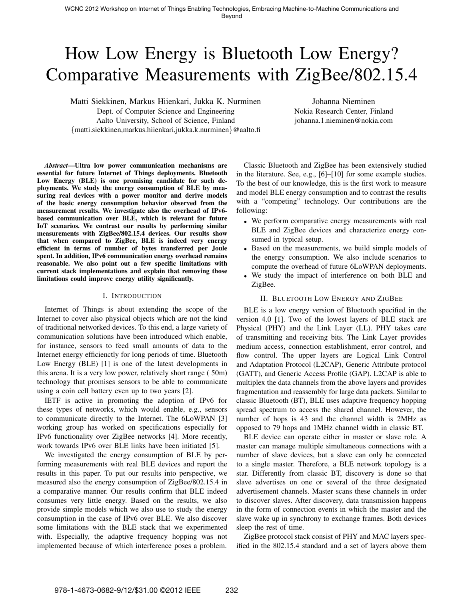# How Low Energy is Bluetooth Low Energy? Comparative Measurements with ZigBee/802.15.4

Matti Siekkinen, Markus Hiienkari, Jukka K. Nurminen

Dept. of Computer Science and Engineering Aalto University, School of Science, Finland {matti.siekkinen,markus.hiienkari,jukka.k.nurminen}@aalto.fi

Johanna Nieminen Nokia Research Center, Finland johanna.1.nieminen@nokia.com

*Abstract*—Ultra low power communication mechanisms are essential for future Internet of Things deployments. Bluetooth Low Energy (BLE) is one promising candidate for such deployments. We study the energy consumption of BLE by measuring real devices with a power monitor and derive models of the basic energy consumption behavior observed from the measurement results. We investigate also the overhead of IPv6 based communication over BLE, which is relevant for future IoT scenarios. We contrast our results by performing similar measurements with ZigBee/802.15.4 devices. Our results show that when compared to ZigBee, BLE is indeed very energy efficient in terms of number of bytes transferred per Joule spent. In addition, IPv6 communication energy overhead remains reasonable. We also point out a few specific limitations with current stack implementations and explain that removing those limitations could improve energy utility significantly.

# I. INTRODUCTION

Internet of Things is about extending the scope of the Internet to cover also physical objects which are not the kind of traditional networked devices. To this end, a large variety of communication solutions have been introduced which enable, for instance, sensors to feed small amounts of data to the Internet energy efficienctly for long periods of time. Bluetooth Low Energy (BLE) [1] is one of the latest developments in this arena. It is a very low power, relatively short range ( 50m) technology that promises sensors to be able to communicate using a coin cell battery even up to two years [2].

IETF is active in promoting the adoption of IPv6 for these types of networks, which would enable, e.g., sensors to communicate directly to the Internet. The 6LoWPAN [3] working group has worked on specifications especially for IPv6 functionality over ZigBee networks [4]. More recently, work towards IPv6 over BLE links have been initiated [5].

We investigated the energy consumption of BLE by performing measurements with real BLE devices and report the results in this paper. To put our results into perspective, we measured also the energy consumption of ZigBee/802.15.4 in a comparative manner. Our results confirm that BLE indeed consumes very little energy. Based on the results, we also provide simple models which we also use to study the energy consumption in the case of IPv6 over BLE. We also discover some limitations with the BLE stack that we experimented with. Especially, the adaptive frequency hopping was not implemented because of which interference poses a problem.

Classic Bluetooth and ZigBee has been extensively studied in the literature. See, e.g., [6]–[10] for some example studies. To the best of our knowledge, this is the first work to measure and model BLE energy consumption and to contrast the results with a "competing" technology. Our contributions are the following:

- We perform comparative energy measurements with real BLE and ZigBee devices and characterize energy consumed in typical setup.
- Based on the measurements, we build simple models of the energy consumption. We also include scenarios to compute the overhead of future 6LoWPAN deployments.
- We study the impact of interference on both BLE and ZigBee.

# II. BLUETOOTH LOW ENERGY AND ZIGBEE

BLE is a low energy version of Bluetooth specified in the version 4.0 [1]. Two of the lowest layers of BLE stack are Physical (PHY) and the Link Layer (LL). PHY takes care of transmitting and receiving bits. The Link Layer provides medium access, connection establishment, error control, and flow control. The upper layers are Logical Link Control and Adaptation Protocol (L2CAP), Generic Attribute protocol (GATT), and Generic Access Profile (GAP). L2CAP is able to multiplex the data channels from the above layers and provides fragmentation and reassembly for large data packets. Similar to classic Bluetooth (BT), BLE uses adaptive frequency hopping spread spectrum to access the shared channel. However, the number of hops is 43 and the channel width is 2MHz as opposed to 79 hops and 1MHz channel width in classic BT.

BLE device can operate either in master or slave role. A master can manage multiple simultaneous connections with a number of slave devices, but a slave can only be connected to a single master. Therefore, a BLE network topology is a star. Differently from classic BT, discovery is done so that slave advertises on one or several of the three designated advertisement channels. Master scans these channels in order to discover slaves. After discovery, data transmission happens in the form of connection events in which the master and the slave wake up in synchrony to exchange frames. Both devices sleep the rest of time.

ZigBee protocol stack consist of PHY and MAC layers specified in the 802.15.4 standard and a set of layers above them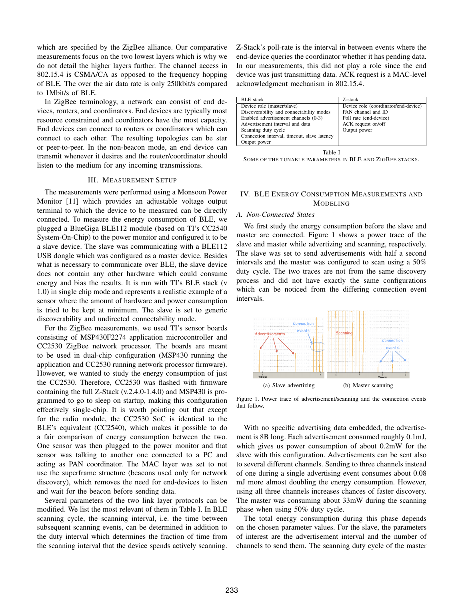which are specified by the ZigBee alliance. Our comparative measurements focus on the two lowest layers which is why we do not detail the higher layers further. The channel access in 802.15.4 is CSMA/CA as opposed to the frequency hopping of BLE. The over the air data rate is only 250kbit/s compared to 1Mbit/s of BLE.

In ZigBee terminology, a network can consist of end devices, routers, and coordinators. End devices are typically most resource constrained and coordinators have the most capacity. End devices can connect to routers or coordinators which can connect to each other. The resulting topologies can be star or peer-to-peer. In the non-beacon mode, an end device can transmit whenever it desires and the router/coordinator should listen to the medium for any incoming transmissions.

## III. MEASUREMENT SETUP

The measurements were performed using a Monsoon Power Monitor [11] which provides an adjustable voltage output terminal to which the device to be measured can be directly connected. To measure the energy consumption of BLE, we plugged a BlueGiga BLE112 module (based on TI's CC2540 System-On-Chip) to the power monitor and configured it to be a slave device. The slave was communicating with a BLE112 USB dongle which was configured as a master device. Besides what is necessary to communicate over BLE, the slave device does not contain any other hardware which could consume energy and bias the results. It is run with TI's BLE stack (v 1.0) in single chip mode and represents a realistic example of a sensor where the amount of hardware and power consumption is tried to be kept at minimum. The slave is set to generic discoverability and undirected connectability mode.

For the ZigBee measurements, we used TI's sensor boards consisting of MSP430F2274 application microcontroller and CC2530 ZigBee network processor. The boards are meant to be used in dual-chip configuration (MSP430 running the application and CC2530 running network processor firmware). However, we wanted to study the energy consumption of just the CC2530. Therefore, CC2530 was flashed with firmware containing the full Z-Stack (v.2.4.0-1.4.0) and MSP430 is programmed to go to sleep on startup, making this configuration effectively single-chip. It is worth pointing out that except for the radio module, the CC2530 SoC is identical to the BLE's equivalent (CC2540), which makes it possible to do a fair comparison of energy consumption between the two. One sensor was then plugged to the power monitor and that sensor was talking to another one connected to a PC and acting as PAN coordinator. The MAC layer was set to not use the superframe structure (beacons used only for network discovery), which removes the need for end-devices to listen and wait for the beacon before sending data.

Several parameters of the two link layer protocols can be modified. We list the most relevant of them in Table I. In BLE scanning cycle, the scanning interval, i.e. the time between subsequent scanning events, can be determined in addition to the duty interval which determines the fraction of time from the scanning interval that the device spends actively scanning.

Z-Stack's poll-rate is the interval in between events where the end-device queries the coordinator whether it has pending data. In our measurements, this did not play a role since the end device was just transmitting data. ACK request is a MAC-level acknowledgment mechanism in 802.15.4.

| <b>BLE</b> stack                            | Z-stack                              |  |  |
|---------------------------------------------|--------------------------------------|--|--|
| Device role (master/slave)                  | Device role (coordinator/end-device) |  |  |
| Discoverability and connectability modes    | PAN channel and ID                   |  |  |
| Enabled advertisement channels (0-3)        | Poll rate (end-device)               |  |  |
| Advertisement interval and data             | ACK request on/off                   |  |  |
| Scanning duty cycle                         | Output power                         |  |  |
| Connection interval, timeout, slave latency |                                      |  |  |
| Output power                                |                                      |  |  |
| Table                                       |                                      |  |  |

SOME OF THE TUNABLE PARAMETERS IN BLE AND ZIGBEE STACKS.

# IV. BLE ENERGY CONSUMPTION MEASUREMENTS AND MODELING

## *A. Non-Connected States*

We first study the energy consumption before the slave and master are connected. Figure 1 shows a power trace of the slave and master while advertizing and scanning, respectively. The slave was set to send advertisements with half a second intervals and the master was configured to scan using a 50% duty cycle. The two traces are not from the same discovery process and did not have exactly the same configurations which can be noticed from the differing connection event intervals.



Figure 1. Power trace of advertisement/scanning and the connection events that follow.

With no specific advertising data embedded, the advertisement is 8B long. Each advertisement consumed roughly 0.1mJ, which gives us power consumption of about 0.2mW for the slave with this configuration. Advertisements can be sent also to several different channels. Sending to three channels instead of one during a single advertising event consumes about 0.08 mJ more almost doubling the energy consumption. However, using all three channels increases chances of faster discovery. The master was consuming about 33mW during the scanning phase when using 50% duty cycle.

The total energy consumption during this phase depends on the chosen parameter values. For the slave, the parameters of interest are the advertisement interval and the number of channels to send them. The scanning duty cycle of the master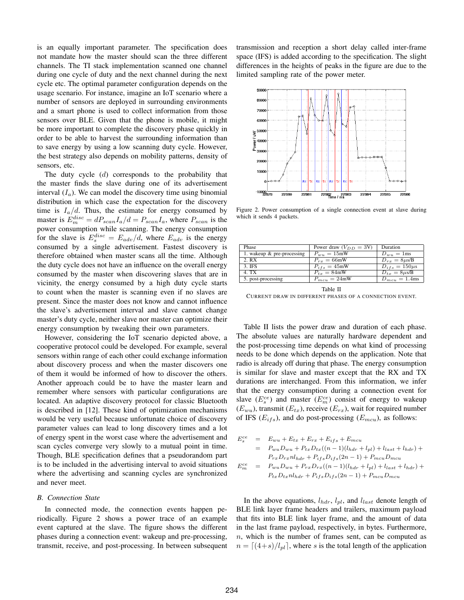is an equally important parameter. The specification does not mandate how the master should scan the three different channels. The TI stack implementation scanned one channel during one cycle of duty and the next channel during the next cycle etc. The optimal parameter configuration depends on the usage scenario. For instance, imagine an IoT scenario where a number of sensors are deployed in surrounding environments and a smart phone is used to collect information from those sensors over BLE. Given that the phone is mobile, it might be more important to complete the discovery phase quickly in order to be able to harvest the surrounding information than to save energy by using a low scanning duty cycle. However, the best strategy also depends on mobility patterns, density of sensors, etc.

The duty cycle (d) corresponds to the probability that the master finds the slave during one of its advertisement interval  $(I_a)$ . We can model the discovery time using binomial distribution in which case the expectation for the discovery time is  $I_a/d$ . Thus, the estimate for energy consumed by master is  $E_m^{disc} = dP_{scan}I_a/d = P_{scan}I_a$ , where  $P_{scan}$  is the power consumption while scanning. The energy consumption for the slave is  $E_s^{disc} = E_{adv}/d$ , where  $E_{adv}$  is the energy consumed by a single advertisement. Fastest discovery is therefore obtained when master scans all the time. Although the duty cycle does not have an influence on the overall energy consumed by the master when discovering slaves that are in vicinity, the energy consumed by a high duty cycle starts to count when the master is scanning even if no slaves are present. Since the master does not know and cannot influence the slave's advertisement interval and slave cannot change master's duty cycle, neither slave nor master can optimize their energy consumption by tweaking their own parameters.

However, considering the IoT scenario depicted above, a cooperative protocol could be developed. For example, several sensors within range of each other could exchange information about discovery process and when the master discovers one of them it would be informed of how to discover the others. Another approach could be to have the master learn and remember where sensors with particular configurations are located. An adaptive discovery protocol for classic Bluetooth is described in [12]. These kind of optimization mechanisms would be very useful because unfortunate choice of discovery parameter values can lead to long discovery times and a lot of energy spent in the worst case where the advertisement and scan cycles converge very slowly to a mutual point in time. Though, BLE specification defines that a pseudorandom part is to be included in the advertising interval to avoid situations where the advertising and scanning cycles are synchronized and never meet.

#### *B. Connection State*

In connected mode, the connection events happen periodically. Figure 2 shows a power trace of an example event captured at the slave. The figure shows the different phases during a connection event: wakeup and pre-processing, transmit, receive, and post-processing. In between subsequent transmission and reception a short delay called inter-frame space (IFS) is added according to the specification. The slight differences in the heights of peaks in the figure are due to the limited sampling rate of the power meter.



Figure 2. Power consumption of a single connection event at slave during which it sends 4 packets.

| Phase                         | Power draw $(V_{DD} = 3V)$ | Duration               |
|-------------------------------|----------------------------|------------------------|
| 1. wakeup $\&$ pre-processing | $P_{wu} = 15$ mW           | $D_{wu} = 1$ ms        |
| 2. RX                         | $P_{rr} = 66$ mW           | $D_{rr} = 8 \mu s/B$   |
| 3. IFS                        | $P_{ifs} = 45$ mW          | $D_{if s} = 150 \mu s$ |
| 4 TX                          | $P_{tr} = 84$ mW           | $D_{tx} = 8 \mu s/B$   |
| 5. post-processing            | $P_{mcu} = 24$ mW          | $D_{mcu} = 1.4$ ms     |
|                               |                            |                        |

Table II CURRENT DRAW IN DIFFERENT PHASES OF A CONNECTION EVENT.

Table II lists the power draw and duration of each phase. The absolute values are naturally hardware dependent and the post-processing time depends on what kind of processing needs to be done which depends on the application. Note that radio is already off during that phase. The energy consumption is similar for slave and master except that the RX and TX durations are interchanged. From this information, we infer that the energy consumption during a connection event for slave  $(E_s^{ce})$  and master  $(E_m^{ce})$  consist of energy to wakeup  $(E_{wu})$ , transmit  $(E_{tx})$ , receive  $(E_{rx})$ , wait for required number of IFS ( $E_{ifs}$ ), and do post-processing ( $E_{mcu}$ ), as follows:

$$
E_{s}^{ce} = E_{wu} + E_{tx} + E_{rx} + E_{ifs} + E_{mcu}
$$
  
\n
$$
= P_{wu}D_{wu} + P_{tx}D_{tx}((n - 1)(l_{hdr} + l_{pl}) + l_{last} + l_{hdr}) + P_{rx}D_{rx}nl_{hdr} + P_{ifs}D_{ifs}(2n - 1) + P_{mcu}D_{mcu}
$$
  
\n
$$
E_{m}^{ce} = P_{wu}D_{wu} + P_{rx}D_{rx}((n - 1)(l_{hdr} + l_{pl}) + l_{last} + l_{hdr}) + P_{tx}D_{tx}nl_{hdr} + P_{ifs}D_{ifs}(2n - 1) + P_{mcu}D_{mcu}
$$

In the above equations,  $l_{hdr}$ ,  $l_{pl}$ , and  $l_{last}$  denote length of BLE link layer frame headers and trailers, maximum payload that fits into BLE link layer frame, and the amount of data in the last frame payload, respectively, in bytes. Furthermore,  $n$ , which is the number of frames sent, can be computed as  $n = \lfloor (4+s)/l_{pl} \rfloor$ , where s is the total length of the application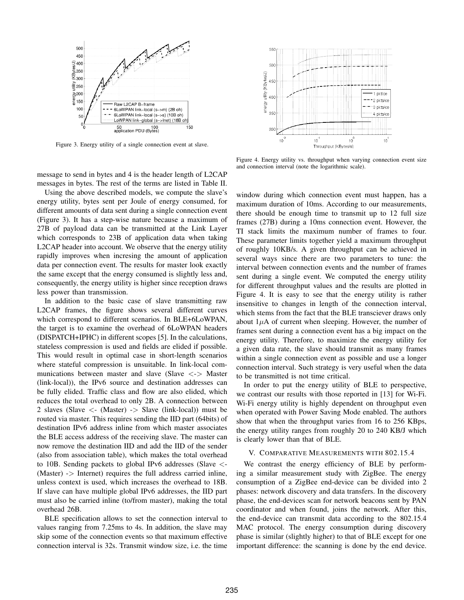

Figure 3. Energy utility of a single connection event at slave.



message to send in bytes and 4 is the header length of L2CAP messages in bytes. The rest of the terms are listed in Table II.

Using the above described models, we compute the slave's energy utility, bytes sent per Joule of energy consumed, for different amounts of data sent during a single connection event (Figure 3). It has a step-wise nature because a maximum of 27B of payload data can be transmitted at the Link Layer which corresponds to 23B of application data when taking L2CAP header into account. We observe that the energy utility rapidly improves when incresing the amount of application data per connection event. The results for master look exactly the same except that the energy consumed is slightly less and, consequently, the energy utility is higher since reception draws less power than transmission.

In addition to the basic case of slave transmitting raw L2CAP frames, the figure shows several different curves which correspond to different scenarios. In BLE+6LoWPAN, the target is to examine the overhead of 6LoWPAN headers (DISPATCH+IPHC) in different scopes [5]. In the calculations, stateless compression is used and fields are elided if possible. This would result in optimal case in short-length scenarios where stateful compression is unsuitable. In link-local communications between master and slave (Slave  $\langle - \rangle$  Master (link-local)), the IPv6 source and destination addresses can be fully elided. Traffic class and flow are also elided, which reduces the total overhead to only 2B. A connection between 2 slaves (Slave  $\langle$ - (Master) - $>$  Slave (link-local)) must be routed via master. This requires sending the IID part (64bits) of destination IPv6 address inline from which master associates the BLE access address of the receiving slave. The master can now remove the destination IID and add the IID of the sender (also from association table), which makes the total overhead to 10B. Sending packets to global IPv6 addresses (Slave <-  $(Master)$  - $>$  Internet) requires the full address carried inline, unless context is used, which increases the overhead to 18B. If slave can have multiple global IPv6 addresses, the IID part must also be carried inline (to/from master), making the total overhead 26B.

BLE specification allows to set the connection interval to values ranging from 7.25ms to 4s. In addition, the slave may skip some of the connection events so that maximum effective connection interval is 32s. Transmit window size, i.e. the time

Figure 4. Energy utility vs. throughput when varying connection event size and connection interval (note the logarithmic scale).

window during which connection event must happen, has a maximum duration of 10ms. According to our measurements, there should be enough time to transmit up to 12 full size frames (27B) during a 10ms connection event. However, the TI stack limits the maximum number of frames to four. These parameter limits together yield a maximum throughput of roughly 10KB/s. A given throughput can be achieved in several ways since there are two parameters to tune: the interval between connection events and the number of frames sent during a single event. We computed the energy utility for different throughput values and the results are plotted in Figure 4. It is easy to see that the energy utility is rather insensitive to changes in length of the connection interval, which stems from the fact that the BLE transciever draws only about  $1\mu A$  of current when sleeping. However, the number of frames sent during a connection event has a big impact on the energy utility. Therefore, to maximize the energy utility for a given data rate, the slave should transmit as many frames within a single connection event as possible and use a longer connection interval. Such strategy is very useful when the data to be transmitted is not time critical.

In order to put the energy utility of BLE to perspective, we contrast our results with those reported in [13] for Wi-Fi. Wi-Fi energy utility is highly dependent on throughput even when operated with Power Saving Mode enabled. The authors show that when the throughput varies from 16 to 256 KBps, the energy utility ranges from roughly 20 to 240 KB/J which is clearly lower than that of BLE.

#### V. COMPARATIVE MEASUREMENTS WITH 802.15.4

We contrast the energy efficiency of BLE by performing a similar measurement study with ZigBee. The energy consumption of a ZigBee end-device can be divided into 2 phases: network discovery and data transfers. In the discovery phase, the end-devices scan for network beacons sent by PAN coordinator and when found, joins the network. After this, the end-device can transmit data according to the 802.15.4 MAC protocol. The energy consumption during discovery phase is similar (slightly higher) to that of BLE except for one important difference: the scanning is done by the end device.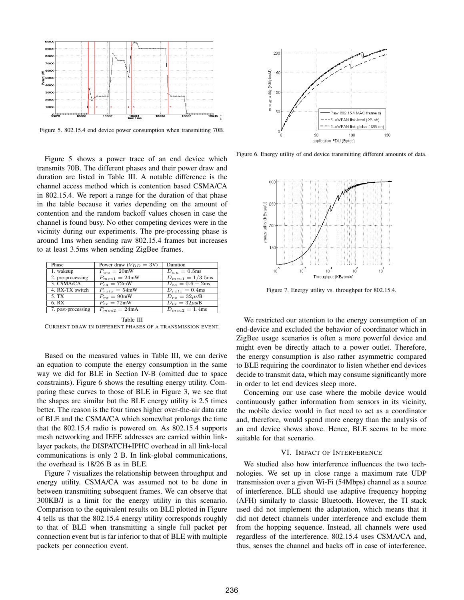

Figure 5. 802.15.4 end device power consumption when transmitting 70B.

Figure 5 shows a power trace of an end device which transmits 70B. The different phases and their power draw and duration are listed in Table III. A notable difference is the channel access method which is contention based CSMA/CA in 802.15.4. We report a range for the duration of that phase in the table because it varies depending on the amount of contention and the random backoff values chosen in case the channel is found busy. No other competing devices were in the vicinity during our experiments. The pre-processing phase is around 1ms when sending raw 802.15.4 frames but increases to at least 3.5ms when sending ZigBee frames.

| Phase              | Power draw $(V_{DD} = 3V)$ | Duration              |
|--------------------|----------------------------|-----------------------|
| 1. wakeup          | $P_{wu} = 20$ mW           | $D_{wu} = 0.5$ ms     |
| 2. pre-processing  | $P_{mcu1} = 24$ mW         | $D_{mcu1} = 1/3.5$ ms |
| 3. CSMA/CA         | $P_{ca} = 72 \text{mW}$    | $D_{ca} = 0.6 - 2ms$  |
| 4. RX-TX switch    | $P_{rrtr} = 54$ mW         | $D_{rxtx} = 0.4$ ms   |
| 5. TX              | $P_{rr} = 90$ mW           | $D_{rx} = 32 \mu s/B$ |
| 6. RX              | $P_{tx} = 72 \text{mW}$    | $D_{tx} = 32 \mu s/B$ |
| 7. post-processing | $P_{mcu2} = 24 \text{mA}$  | $D_{mcu2} = 1.4$ ms   |

Table III CURRENT DRAW IN DIFFERENT PHASES OF A TRANSMISSION EVENT.

Based on the measured values in Table III, we can derive an equation to compute the energy consumption in the same way we did for BLE in Section IV-B (omitted due to space constraints). Figure 6 shows the resulting energy utility. Comparing these curves to those of BLE in Figure 3, we see that the shapes are similar but the BLE energy utility is 2.5 times better. The reason is the four times higher over-the-air data rate of BLE and the CSMA/CA which somewhat prolongs the time that the 802.15.4 radio is powered on. As 802.15.4 supports mesh networking and IEEE addresses are carried within linklayer packets, the DISPATCH+IPHC overhead in all link-local communications is only 2 B. In link-global communications, the overhead is 18/26 B as in BLE.

Figure 7 visualizes the relationship between throughput and energy utility. CSMA/CA was assumed not to be done in between transmitting subsequent frames. We can observe that 300KB/J is a limit for the energy utility in this scenario. Comparison to the equivalent results on BLE plotted in Figure 4 tells us that the 802.15.4 energy utility corresponds roughly to that of BLE when transmitting a single full packet per connection event but is far inferior to that of BLE with multiple packets per connection event.



Figure 6. Energy utility of end device transmitting different amounts of data.



Figure 7. Energy utility vs. throughput for 802.15.4.

We restricted our attention to the energy consumption of an end-device and excluded the behavior of coordinator which in ZigBee usage scenarios is often a more powerful device and might even be directly attach to a power outlet. Therefore, the energy consumption is also rather asymmetric compared to BLE requiring the coordinator to listen whether end devices decide to transmit data, which may consume significantly more in order to let end devices sleep more.

Concerning our use case where the mobile device would continuously gather information from sensors in its vicinity, the mobile device would in fact need to act as a coordinator and, therefore, would spend more energy than the analysis of an end device shows above. Hence, BLE seems to be more suitable for that scenario.

# VI. IMPACT OF INTERFERENCE

We studied also how interference influences the two technologies. We set up in close range a maximum rate UDP transmission over a given Wi-Fi (54Mbps) channel as a source of interference. BLE should use adaptive frequency hopping (AFH) similarly to classic Bluetooth. However, the TI stack used did not implement the adaptation, which means that it did not detect channels under interference and exclude them from the hopping sequence. Instead, all channels were used regardless of the interference. 802.15.4 uses CSMA/CA and, thus, senses the channel and backs off in case of interference.